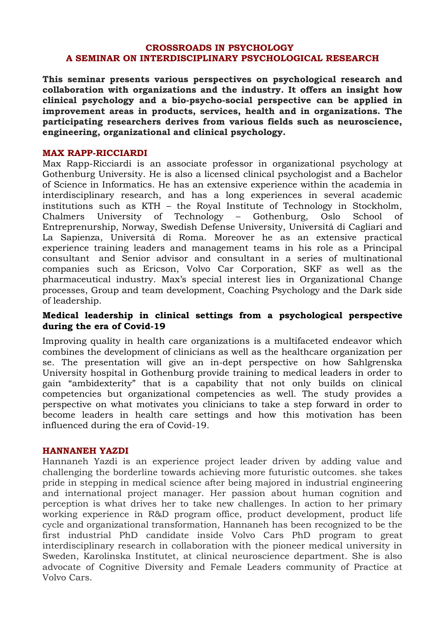#### **CROSSROADS IN PSYCHOLOGY A SEMINAR ON INTERDISCIPLINARY PSYCHOLOGICAL RESEARCH**

**This seminar presents various perspectives on psychological research and collaboration with organizations and the industry. It offers an insight how clinical psychology and a bio-psycho-social perspective can be applied in improvement areas in products, services, health and in organizations. The participating researchers derives from various fields such as neuroscience, engineering, organizational and clinical psychology.**

#### **MAX RAPP-RICCIARDI**

Max Rapp-Ricciardi is an associate professor in organizational psychology at Gothenburg University. He is also a licensed clinical psychologist and a Bachelor of Science in Informatics. He has an extensive experience within the academia in interdisciplinary research, and has a long experiences in several academic institutions such as KTH – the Royal Institute of Technology in Stockholm, Chalmers University of Technology – Gothenburg, Oslo School of Entreprenurship, Norway, Swedish Defense University, Universitá di Cagliari and La Sapienza, Universitá di Roma. Moreover he as an extensive practical experience training leaders and management teams in his role as a Principal consultant and Senior advisor and consultant in a series of multinational companies such as Ericson, Volvo Car Corporation, SKF as well as the pharmaceutical industry. Max's special interest lies in Organizational Change processes, Group and team development, Coaching Psychology and the Dark side of leadership.

#### **Medical leadership in clinical settings from a psychological perspective during the era of Covid-19**

Improving quality in health care organizations is a multifaceted endeavor which combines the development of clinicians as well as the healthcare organization per se. The presentation will give an in-dept perspective on how Sahlgrenska University hospital in Gothenburg provide training to medical leaders in order to gain "ambidexterity" that is a capability that not only builds on clinical competencies but organizational competencies as well. The study provides a perspective on what motivates you clinicians to take a step forward in order to become leaders in health care settings and how this motivation has been influenced during the era of Covid-19.

#### **HANNANEH YAZDI**

Hannaneh Yazdi is an experience project leader driven by adding value and challenging the borderline towards achieving more futuristic outcomes. she takes pride in stepping in medical science after being majored in industrial engineering and international project manager. Her passion about human cognition and perception is what drives her to take new challenges. In action to her primary working experience in R&D program office, product development, product life cycle and organizational transformation, Hannaneh has been recognized to be the first industrial PhD candidate inside Volvo Cars PhD program to great interdisciplinary research in collaboration with the pioneer medical university in Sweden, Karolinska Institutet, at clinical neuroscience department. She is also advocate of Cognitive Diversity and Female Leaders community of Practice at Volvo Cars.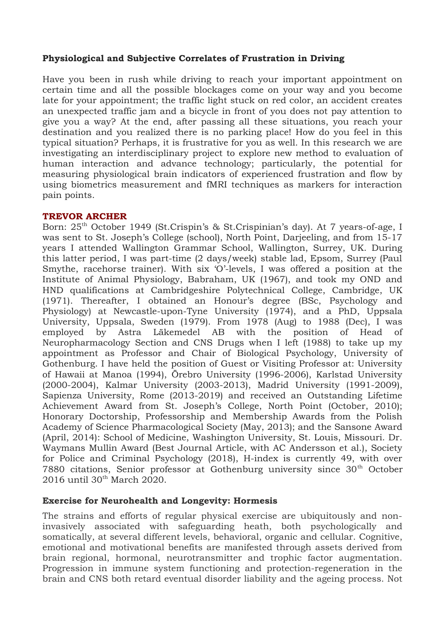# **Physiological and Subjective Correlates of Frustration in Driving**

Have you been in rush while driving to reach your important appointment on certain time and all the possible blockages come on your way and you become late for your appointment; the traffic light stuck on red color, an accident creates an unexpected traffic jam and a bicycle in front of you does not pay attention to give you a way? At the end, after passing all these situations, you reach your destination and you realized there is no parking place! How do you feel in this typical situation? Perhaps, it is frustrative for you as well. In this research we are investigating an interdisciplinary project to explore new method to evaluation of human interaction and advance technology; particularly, the potential for measuring physiological brain indicators of experienced frustration and flow by using biometrics measurement and fMRI techniques as markers for interaction pain points.

## **TREVOR ARCHER**

Born: 25<sup>th</sup> October 1949 (St.Crispin's & St.Crispinian's day). At 7 years-of-age, I was sent to St. Joseph's College (school), North Point, Darjeeling, and from 15-17 years I attended Wallington Grammar School, Wallington, Surrey, UK. During this latter period, I was part-time (2 days/week) stable lad, Epsom, Surrey (Paul Smythe, racehorse trainer). With six 'O'-levels, I was offered a position at the Institute of Animal Physiology, Babraham, UK (1967), and took my OND and HND qualifications at Cambridgeshire Polytechnical College, Cambridge, UK (1971). Thereafter, I obtained an Honour's degree (BSc, Psychology and Physiology) at Newcastle-upon-Tyne University (1974), and a PhD, Uppsala University, Uppsala, Sweden (1979). From 1978 (Aug) to 1988 (Dec), I was employed by Astra Läkemedel AB with the position of Head of Neuropharmacology Section and CNS Drugs when I left (1988) to take up my appointment as Professor and Chair of Biological Psychology, University of Gothenburg. I have held the position of Guest or Visiting Professor at: University of Hawaii at Manoa (1994), Örebro University (1996-2006), Karlstad University (2000-2004), Kalmar University (2003-2013), Madrid University (1991-2009), Sapienza University, Rome (2013-2019) and received an Outstanding Lifetime Achievement Award from St. Joseph's College, North Point (October, 2010); Honorary Doctorship, Professorship and Membership Awards from the Polish Academy of Science Pharmacological Society (May, 2013); and the Sansone Award (April, 2014): School of Medicine, Washington University, St. Louis, Missouri. Dr. Waymans Mullin Award (Best Journal Article, with AC Andersson et al.), Society for Police and Criminal Psychology (2018), H-index is currently 49, with over 7880 citations, Senior professor at Gothenburg university since  $30<sup>th</sup>$  October  $2016$  until  $30<sup>th</sup>$  March  $2020$ .

# **Exercise for Neurohealth and Longevity: Hormesis**

The strains and efforts of regular physical exercise are ubiquitously and noninvasively associated with safeguarding heath, both psychologically and somatically, at several different levels, behavioral, organic and cellular. Cognitive, emotional and motivational benefits are manifested through assets derived from brain regional, hormonal, neurotransmitter and trophic factor augmentation. Progression in immune system functioning and protection-regeneration in the brain and CNS both retard eventual disorder liability and the ageing process. Not